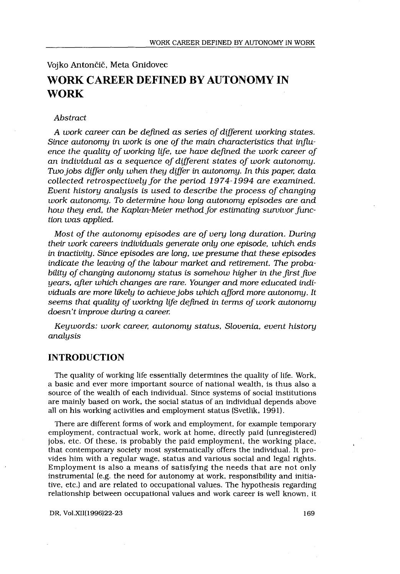### Vojko Antončič, Meta Gnidovec

# WORK CAREER DEFINED BY AUTONOMY IN WORK

#### Abstract

A work career can be defined as series of different working states . Since autonomy in work is one of the main characteristics that influence the quality of working life, we have defined the work career of an individual as a sequence of different states of work autonomy. Two jobs differ only when they differ in autonomy. In this paper, data collected retrospectively for the period 1974-1994 are examined. Event history analysis is used to describe the process of changing work autonomy. To determine how long autonomy episodes are and how they end, the Kaplan-Meier method for estimating survivor function was applied.

Most of the autonomy episodes are of very long duration. During their work careers individuals generate only one episode, which ends in inactivity. Since episodes are long, we presume that these episodes indicate the leaving of the labour market and retirement. The probability of changing autonomy status is somehow higher in the first five years, after which changes are rare. Younger and more educated individuals are more likely to achieve jobs which afford more autonomy. It seems that quality of working life defined in terms of work autonomy doesn't improve during a career.

Keywords: work career, autonomy status, Slovenia, event history analysis

## INTRODUCTION

The quality of working life essentially determines the quality of life . Work, a basic and ever more important source of national wealth, is thus also a source of the wealth of each individual . Since systems of social institutions are mainly based on work, the social status of an individual depends above all on his working activities and employment status (Svetlik, 1991) .

There are different forms of work and employment, for example temporary employment, contractual work, work at home, directly paid (unregistered) jobs, etc . Of these, is probably the paid employment, the working place, that contemporary society most systematically offers the individual . It provides him with a regular wage, status and various social and legal rights . Employment is also a means of satisfying the needs that are not only instrumental (e.g. the need for autonomy at work, responsibility and initiative, etc.) and are related to occupational values. The hypothesis regarding relationship between occupational values and work career is well known, it

DR, Vol .XII(1996)22-23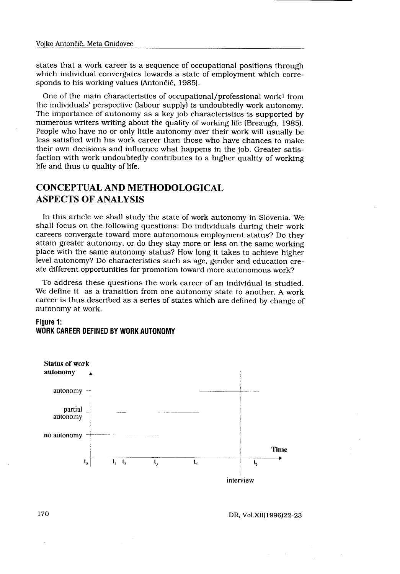states that a work career is a sequence of occupational positions through which individual convergates towards a state of employment which corresponds to his working values (Antončič, 1985) .

One of the main characteristics of occupational/professional work' from the individuals' perspective (labour supply) is undoubtedly work autonomy . The importance of autonomy as a key job characteristics is supported by numerous writers writing about the quality of working life (Breaugh, 1985) . People who have no or only little autonomy over their work will usually be less satisfied with his work career than those who have chances to make their own decisions and influence what happens in the job. Greater satisfaction with work undoubtedly contributes to a higher quality of working life and thus to quality of life.

# CONCEPTUAL AND METHODOLOGICAL ASPECTS OF ANALYSIS

In this article we shall study the state of work autonomy in Slovenia . We shall focus on the following questions: Do individuals during their work careers convergate toward more autonomous employment status? Do they attain greater autonomy, or do they stay more or less on the same working place with the same autonomy status? How long it takes to achieve higher level autonomy? Do characteristics such as age, gender and education create different opportunities for promotion toward more autonomous work?

To address these questions the work career of an individual is studied . We define it as a transition from one autonomy state to another . A work career is thus described as a series of states which are defined by change of autonomy at work.

### Figure 1: WORK CAREER DEFINED BY WORK AUTONOMY

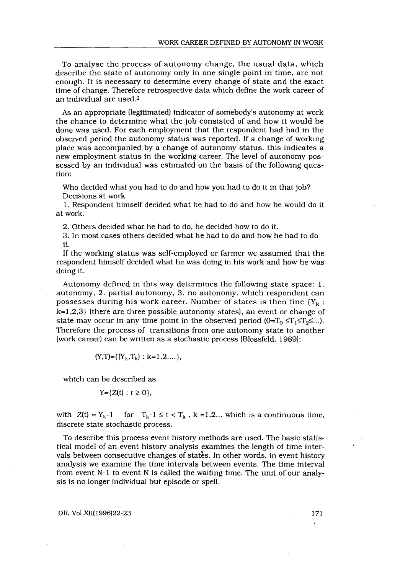To analyse the process of autonomy change, the usual data, which describe the state of autonomy only in one single point in time, are not enough. It is necessary to determine every change of state and the exact time of change. Therefore retrospective data which define the work career of an individual are used.<sup>2</sup> 

> As an appropriate (legitimated) indicator of somebody's autonomy at work the chance to determine what the job consisted of and how it would be done was used. For each employment that the respondent had had in the observed period the autonomy status was reported. If a change of working place was accompanied by a change of autonomy status, this indicates a new employment status in the working career. The level of autonomy possessed by an individual was estimated on the basis of the following question:

Who decided what you had to do and how you had to do it in that job? Decisions at work

<sup>1</sup> . Respondent himself decided what he had to do and how he would do it at work .

2. Others decided what he had to do, he decided how to do it.

3. In most cases others decided what he had to do and how he had to do it.

If the working status was self-employed or farmer we assumed that the respondent himself decided what he was doing in his work and how he was doing it.

Autonomy defined in this way determines the following state space : 1 . autonomy, 2. partial autonomy, 3 . no autonomy, which respondent can possesses during his work career. Number of states is then fine  ${Y_k:}$ k=1,2,3} (there are three possible autonomy states), an event or change of state may occur in any time point in the observed period  $(0=T_0 \leq T_1 \leq T_2 \leq ...).$ Therefore the process of transitions from one autonomy state to another (work career) can be written as a stochastic process (Blossfeld, 1989) :

$$
(Y,T) = \{ (Y_k,T_k) : k=1,2,... \},
$$

which can be described as

$$
Y=\{Z(t):t\geq 0\},\
$$

with  $Z(t) = Y_k - 1$  for  $T_k - 1 \le t < T_k$ ,  $k = 1, 2, \ldots$  which is a continuous time, discrete state stochastic process .

To describe this process event history methods are used . The basic statistical model of an event history analysis examines the length of time intervals between consecutive changes of states. In other words, in event history analysis we examine the time intervals between events . The time interval from event N-1 to event N is called the waiting time . The unit of our analysis is no longer individual but episode or spell .

DR, Vol .XII(1996)22-23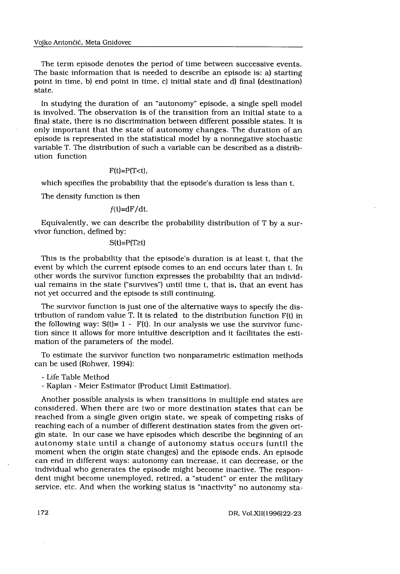The term episode denotes the period of time between successive events . The basic information that is needed to describe an episode is: a) starting point in time, b) end point in time, c) initial state and d) final (destination) state.

In studying the duration of an "autonomy" episode, a single spell model is involved. The observation is of the transition from an initial state to a final state, there is no discrimination between different possible states . It is only important that the state of autonomy changes . The duration of an episode is represented in the statistical model by a nonnegative stochastic variable T. The distribution of such a variable can be described as a distribution function

#### $F(t)=P(T< t)$ ,

which specifies the probability that the episode's duration is less than t.

The density function is then

 $f(t)=dF/dt$ .

Equivalently, we can describe the probability distribution of T by a survivor function, defined by:

 $S(t)=P(T\ge t)$ 

This is the probability that the episode's duration is at least t, that the event by which the current episode comes to an end occurs later than t. In other words the survivor function expresses the probability that an individual remains in the state ("survives") until time t, that is, that an event has not yet occurred and the episode is still continuing .

The survivor function is just one of the alternative ways to specify the distribution of random value T . It is related to the distribution function F(t) in the following way:  $S(t) = 1 - F(t)$ . In our analysis we use the survivor function since it allows for more intuitive description and it facilitates the estimation of the parameters of the model.

To estimate the survivor function two nonparametric estimation methods can be used (Rohwer, 1994) :

- Life Table Method

- Kaplan - Meier Estimator (Product Limit Estimatior) .

Another possible analysis is when transitions in multiple end states are considered. When there are two or more destination states that can be reached from a single given origin state, we speak of competing risks of reaching each of a number of different destination states from the given origin state. In our case we have episodes which describe the beginning of an autonomy state until a change of autonomy status occurs (until the moment when the origin state changes) and the episode ends . An episode can end in different ways: autonomy can increase, it can decrease, or the individual who generates the episode might become inactive. The respondent might become unemployed, retired, a "student" or enter the military service, etc. And when the working status is "inactivity" no autonomy sta-

DR, Vol .XII(1996)22-23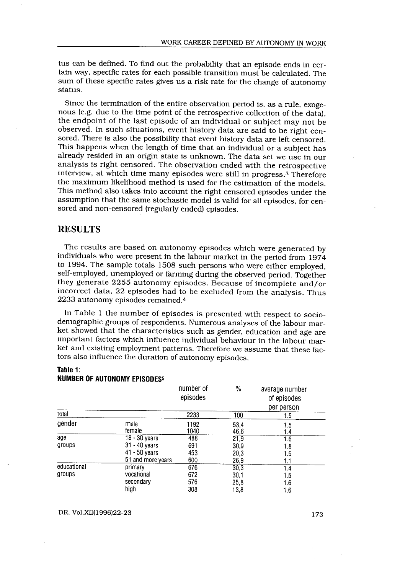tus can be defined. To find out the probability that an episode ends in certain way, specific rates for each possible transition must be calculated. The sum of these specific rates gives us a risk rate for the change of autonomy status. 

> Since the termination of the entire observation period is, as a rule, exogenous (e.g. due to the time point of the retrospective collection of the data). the endpoint of the last episode of an individual or subject may not be observed. In such situations, event history data are said to be right censored. There is also the possibility that event history data are left censored. This happens when the length of time that an individual or a subject has already resided in an origin state is unknown . The data set we use in our analysis is right censored. The observation ended with the retrospective interview, at which time many episodes were still in progress .3 Therefore the maximum likelihood method is used for the estimation of the models . This method also takes into account the right censored episodes under the assumption that the same stochastic model is valid for all episodes, for censored and non-censored (regularly ended) episodes .

# RESULTS

The results are based on autonomy episodes which were generated by individuals who were present in the labour market in the period from 1974 to 1994 . The sample totals 1508 such persons who were either employed, self-employed, unemployed or farming during the observed period. Together they generate 2255 autonomy episodes . Because of incomplete and/or incorrect data, 22 episodes had to be excluded from the analysis. Thus 2233 autonomy episodes remained .4

In Table 1 the number of episodes is presented with respect to sociodemographic groups of respondents . Numerous analyses of the labour market showed that the characteristics such as gender, education and age are important factors which influence individual behaviour in the labour market and existing employment patterns. Therefore we assume that these factors also influence the duration of autonomy episodes .

### Table 1: NUMBER OF AUTONOMY EPISODES5

| Table 1:              | <b>NUMBER OF AUTONOMY EPISODES5</b>                                    |                          |                              |                                             |
|-----------------------|------------------------------------------------------------------------|--------------------------|------------------------------|---------------------------------------------|
|                       |                                                                        | number of<br>episodes    | $\frac{0}{2}$                | average number<br>of episodes<br>per person |
| total                 |                                                                        | 2233                     | 100                          | 1.5                                         |
| gender                | male<br>female                                                         | 1192<br>1040             | 53,4<br>46,6                 | 1.5<br>1.4                                  |
| age<br>groups         | 18 - 30 vears<br>31 - 40 years<br>$41 - 50$ years<br>51 and more years | 488<br>691<br>453<br>600 | 21,9<br>30,9<br>20,3<br>26,9 | 1.6<br>1.8<br>1.5<br>1.1                    |
| educational<br>groups | primary<br>vocational<br>secondary<br>high                             | 676<br>672<br>576<br>308 | 30.3<br>30,1<br>25,8<br>13,8 | 1.4<br>1.5<br>1.6<br>1.6                    |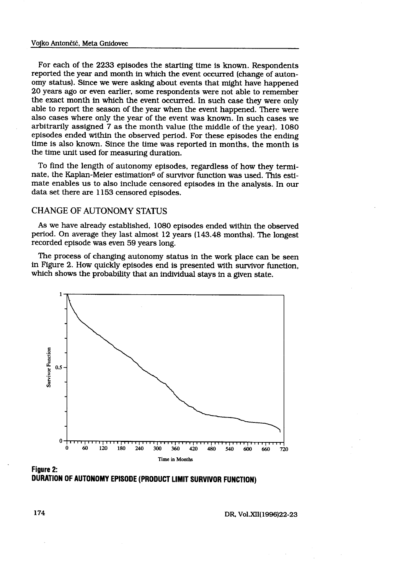For each of the 2233 episodes the starting time is known . Respondents sodes the starting time is kn<br>th in which the event occurre<br>existing about events that minds<br>r, some respondents were not<br>the event occurred. In such of reported the year and month in which the event occurred (change of autonomy status). Since we were asking about events that might have happened 20 years ago or even earlier, some respondents were not able to remember the exact month in which the event occurred. In such case they were only able to report the season of the year when the event happened. There were also cases where only the year of the event was known . In such cases we arbitrarily assigned 7 as the month value (the middle of the year). 1080 episodes ended within the observed period. For these episodes the ending time is also known. Since the time was reported in months, the month is the time unit used for measuring duration.

To find the length of autonomy episodes, regardless of how they terminate, the Kaplan-Meier estimation<sup>6</sup> of survivor function was used. This estimate enables us to also include censored episodes in the analysis . In our data set there are 1153 censored episodes.

### CHANGE OF AUTONOMY STATUS

As we have already established, 1080 episodes ended within the observed period . On average they last almost 12 years (143 .48 months) . The longest recorded episode was even 59 years long.

The process of changing autonomy status in the work place can be seen in Figure 2 . How quickly episodes end is presented with survivor function, which shows the probability that an individual stays in a given state.



Figure 2: DURATION OF AUTONOMY EPISODE (PRODUCT LIMIT SURVIVOR FUNCTION)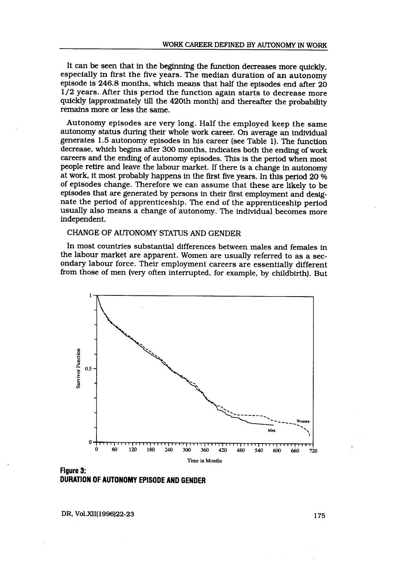It can be seen that in the beginning the function decreases more quickly, especially in first the five years. The median duration of an autonomy episode is 246.8 months, which means that half the episodes end after 20 1/2 years . After this period the function again starts to decrease more quickly (approximately till the 420th month) and thereafter the probability remains more or less the same.

Autonomy episodes are very long. Half the employed keep the same autonomy status during their whole work career . On average an individual generates  $1.5$  autonomy episodes in his career (see Table 1). The function decrease, which begins after 300 months, indicates both the ending of work careers and the ending of autonomy episodes . This is the period when most people retire and leave the labour market. If there is a change in autonomy at work, it most probably happens in the first five years . In this period 20 of episodes change. Therefore we can assume that these are likely to be episodes that are generated by persons in their first employment and designate the period of apprenticeship . The end of the apprenticeship period usually also means a change of autonomy. The individual becomes more independent.

# CHANGE OF AUTONOMY STATUS AND GENDER

In most countries substantial differences between males and females in the labour market are apparent. Women are usually referred to as a secondary labour force. Their employment careers are essentially different from those of men (very often interrupted, for example, by childbirth). But



Figure 3: DURATION OF AUTONOMY EPISODE AND GENDER

DR, Vol.XII(1996)22-23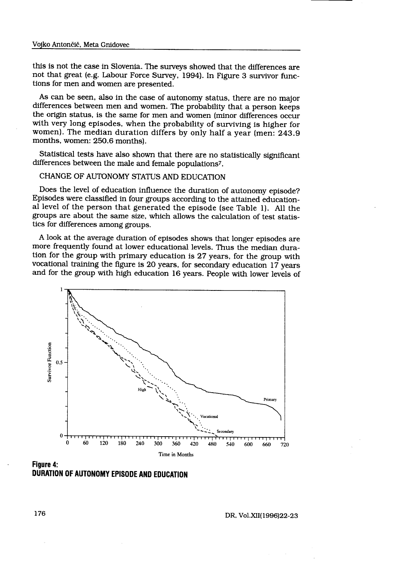this is not the case in Slovenia . The surveys showed that the differences are not that great (e.g. Labour Force Survey, 1994). In Figure 3 survivor functions for men and women are presented.

As can be seen, also in the case of autonomy status, there are no major differences between men and women. The probability that a person keeps the origin status, is the same for men and women (minor differences occur with very long episodes, when the probability of surviving is higher for women). The median duration differs by only half a year (men: 243.9 months, women: 250.6 months).

Statistical tests have also shown that there are no statistically significant differences between the male and female populations7 .

CHANGE OF AUTONOMY STATUS AND EDUCATION

Does the level of education influence the duration of autonomy episode? Episodes were classified in four groups according to the attained educational level of the person that generated the episode (see Table 1) . All the groups are about the same size, which allows the calculation of test statistics for differences among groups.

A look at the average duration of episodes shows that longer episodes are more frequently found at lower educational levels . Thus the median duration for the group with primary education is 27 years, for the group with vocational training the figure is 20 years, for secondary education 17 years and for the group with high education 16 years . People with lower levels of



DURATION OF AUTONOMY EPISODE AND EDUCATION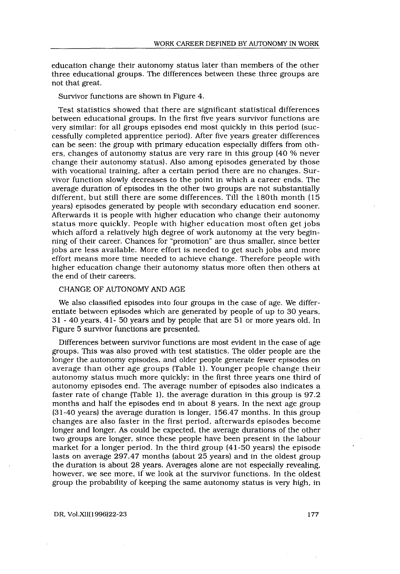education change their autonomy status later than members of the other three educational groups. The differences between these three groups are not that great.

Survivor functions are shown in Figure 4 .

 

Test statistics showed that there are significant statistical differences between educational groups . In the first five years survivor functions are very similar: for all groups episodes end most quickly in this period (successfully completed apprentice period) . After five years greater differences can be seen: the group with primary education especially differs from others, changes of autonomy status are very rare in this group (40 % never change their autonomy status). Also among episodes generated by those with vocational training, after a certain period there are no changes. Survivor function slowly decreases to the point in which a career ends . The average duration of episodes in the other two groups are not substantially different, but still there are some differences . Till the 180th month (15 years) episodes generated by people with secondary education end sooner . Afterwards it is people with higher education who change their autonomy status more quickly . People with higher education most often get jobs which afford a relatively high degree of work autonomy at the very beginning of their career. Chances for "promotion" are thus smaller, since better jobs are less available. More effort is needed to get such jobs and more effort means more time needed to achieve change . Therefore people with higher education change their autonomy status more often then others at the end of their careers .

### CHANGE OF AUTONOMY AND AGE

We also classified episodes into four groups in the case of age. We differentiate between episodes which are generated by people of up to 30 years, 31 - 40 years, 41- 50 years and by people that are 51 or more years old . In Figure 5 survivor functions are presented.

Differences between survivor functions are most evident in the case of age groups. This was also proved with test statistics . The older people are the longer the autonomy episodes, and older people generate fewer episodes on average than other age groups (Table 1). Younger people change their autonomy status much more quickly : in the first three years one third of autonomy episodes end. The average number of episodes also indicates a faster rate of change (Table 1), the average duration in this group is 97.2 months and half the episodes end in about 8 years . In the next age group (31-40 years) the average duration is longer, 156 .47 months . In this group changes are also faster in the first period, afterwards episodes become longer and longer. As could be expected, the average durations of the other two groups are longer, since these people have been present in the labour market for a longer period. In the third group (41-50 years) the episode lasts on average 297 .47 months (about 25 years) and in the oldest group the duration is about 28 years . Averages alone are not especially revealing, however, we see more, if we look at the survivor functions . In the oldest group the probability of keeping the same autonomy status is very high, in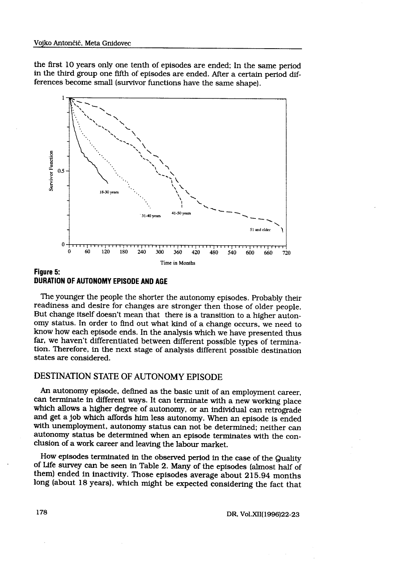the first 10 years only one tenth of episodes are ended : In the same period Gnidovec<br>nly one tenth of episodes are ended<br>ne fifth of episodes are ended. After<br>nall (survivor functions have the sam in the third group one fifth of episodes are ended . After a certain period differences become small (survivor functions have the same shape) .



### Figure 5: DURATION OF AUTONOMY EPISODE AND AGE

The younger the people the shorter the autonomy episodes . Probably their readiness and desire for changes are stronger then those of older people. But change itself doesn't mean that there is a transition to a higher autonomy status . In order to find out what kind of a change occurs, we need to know how each episode ends . In the analysis which we have presented thus far, we haven't differentiated between different possible types of termination. Therefore, in the next stage of analysis different possible destination states are considered.

# DESTINATION STATE OF AUTONOMY EPISODE

An autonomy episode, defined as the basic unit of an employment career, can terminate in different ways . It can terminate with a new working place which allows a higher degree of autonomy, or an individual can retrograde and get a job which affords him less autonomy. When an episode is ended with unemployment, autonomy status can not be determined; neither can autonomy status be determined when an episode terminates with the conclusion of a work career and leaving the labour market.

How episodes terminated in the observed period in the case of the Quality of Life survey can be seen in Table 2 . Many of the episodes (almost half of them) ended in inactivity. Those episodes average about 215 .94 months long (about 18 years), which might be expected considering the fact that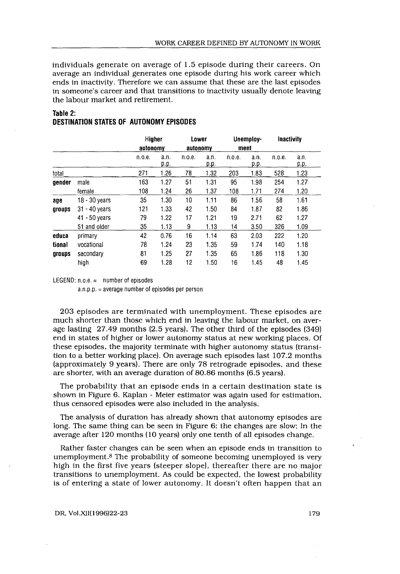### Table 2: DESTINATION STATES OF AUTONOMY EPISODES

 

|                           |                   |                    |              |                                                |              |          |              |            | WORK CAREER DEFINED BY AUTONOMY IN WORK |
|---------------------------|-------------------|--------------------|--------------|------------------------------------------------|--------------|----------|--------------|------------|-----------------------------------------|
|                           |                   |                    |              |                                                |              |          |              |            |                                         |
|                           |                   |                    |              | <b>DESTINATION STATES OF AUTONOMY EPISODES</b> |              |          |              |            |                                         |
|                           |                   |                    |              | Lower                                          |              |          |              |            |                                         |
|                           |                   | Higher             |              |                                                |              | ment     | Unemploy-    | Inactivity |                                         |
|                           |                   | autonomy<br>n.o.e. | a.n.<br>p.p. | autonomy<br>n.o.e.                             | a.n.<br>p.p. | n.o.e.   | a.n.<br>p.p. | п.о.е.     | a.n.<br>p.p.                            |
|                           |                   | 271                | 1.26         | 78                                             | 1.32         | 203      | 1.83         | 528        | 1.23                                    |
|                           | male              | 163                | 1.27         | 51                                             | 1.31         | 95       | 1.98         | 254        | 1.27                                    |
| total<br>gender           | female            | 108                | 1.24         | 26                                             | 1.37         | 108      | 1.71         | 274        | 1.20                                    |
| age                       | 18 - 30 years     | 35                 | 1.30         | 10                                             | 1.11         | 86       | 1.56         | 58         | 1.61                                    |
|                           | 31 - 40 years     | 121                | 1.33         | 42                                             | 1.50         | 84       | 1.87         | 82         | 1.86                                    |
| groups                    | 41 - 50 years     | 79                 | 1.22         | 17                                             | 1.21         | 19       | 2.71         | 62         | 1.27                                    |
|                           | 51 and older      | 35                 | 1.13         | 9                                              | 1.13         | 14       | 3.50         | 326        | 1.09                                    |
|                           | primary           | 42                 | 0.76         | 16                                             | 1.14         | 63       | 2.03         | 222        | 1.20                                    |
|                           | vocational        | 78                 | 1.24         | 23                                             | 1.35         | 59       | 1.74         | 140        | 1.18                                    |
| educa<br>tional<br>groups | secondary<br>high | 81<br>69           | 1.25<br>1.28 | 27<br>12                                       | 1.35<br>1.50 | 65<br>16 | 1.86<br>1.45 | 118<br>48  | 1.30<br>1.45                            |

LEGEND:  $n.o.e. =$  number of episodes

 $a.n.p.p.$  = average number of episodes per person

203 episodes are terminated with unemployment. These episodes are much shorter than those which end in leaving the labour market, on average lasting 27 .49 months (2 .5 years) . The other third of the episodes (349) end in states of higher or lower autonomy status at new working places . Of these episodes, the majority terminate with higher autonomy status (transition to a better working place) . On average such episodes last 107 .2 months (approximately 9 years). There are only 78 retrograde episodes, and these are shorter, with an average duration of 80 .86 months (6.5 years) .

The probability that an episode ends in a certain destination state is shown in Figure 6. Kaplan - Meier estimator was again used for estimation, thus censored episodes were also included in the analysis.

The analysis of duration has already shown that autonomy episodes are long. The same thing can be seen in Figure 6: the changes are slow; In the average after 120 months (10 years) only one tenth of all episodes change.

Rather faster changes can be seen when an episode ends in transition to unemployment. $8$  The probability of someone becoming unemployed is very high in the first five years (steeper slope), thereafter there are no major transitions to unemployment. As could be expected, the lowest probability is of entering a state of lower autonomy. It doesn't often happen that an

DR, Vol.XII(1996)22-23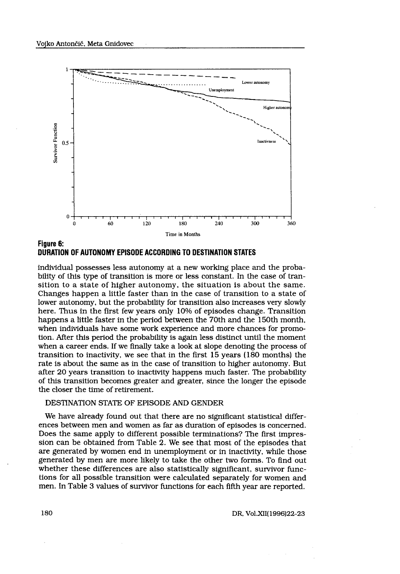

Figure 6: DURATION OF AUTONOMY EPISODE ACCORDING TO DESTINATION STATES

individual possesses less autonomy at a new working place and the probability of this type of transition is more or less constant . In the case of transition to a state of higher autonomy, the situation is about the same . Changes happen a little faster than in the case of transition to a state of lower autonomy, but the probability for transition also increases very slowly here. Thus in the first few years only 10% of episodes change. Transition happens a little faster in the period between the 70th and the 150th month, when individuals have some work experience and more chances for promotion . After this period the probability is again less distinct until the moment when a career ends. If we finally take a look at slope denoting the process of transition to inactivity, we see that in the first 15 years (180 months) the rate is about the same as in the case of transition to higher autonomy . But after 20 years transition to inactivity happens much faster . The probability of this transition becomes greater and greater, since the longer the episode the closer the time of retirement.

#### DESTINATION STATE OF EPISODE AND GENDER

We have already found out that there are no significant statistical differences between men and women as far as duration of episodes is concerned . Does the same apply to different possible terminations? The first impression can be obtained from Table 2. We see that most of the episodes that are generated by women end in unemployment or in inactivity, while those generated by men are more likely to take the other two forms . To find out whether these differences are also statistically significant, survivor functions for all possible transition were calculated separately for women and men. In Table 3 values of survivor functions for each fifth year are reported .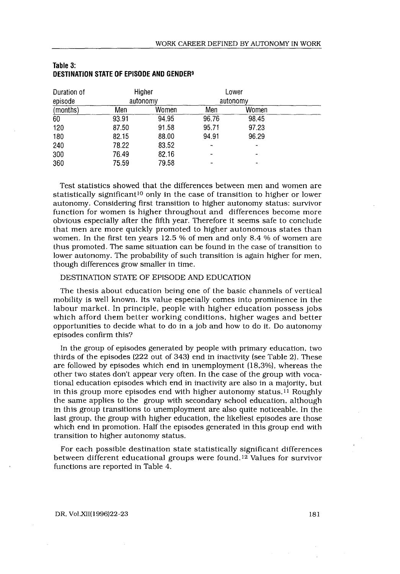|                     |                |                                                      | WORK CAREER DEFINED BY AUTONOMY IN WORK |          |
|---------------------|----------------|------------------------------------------------------|-----------------------------------------|----------|
|                     |                |                                                      |                                         |          |
| Table 3:            |                | DESTINATION STATE OF EPISODE AND GENDER <sup>9</sup> |                                         |          |
|                     |                |                                                      |                                         | Lower    |
| Duration of         |                |                                                      |                                         |          |
|                     |                | Higher<br>autonomy                                   |                                         | autonomy |
| episode<br>(months) | Men            | Women                                                | Men                                     | Women    |
| 60                  | 93.91          | 94.95                                                | 96.76                                   | 98.45    |
| 120                 | 87.50          | 91.58                                                | 95.71                                   | 97.23    |
| 180                 | 82.15          | 88.00                                                | 94.91                                   | 96.29    |
| 240                 |                |                                                      |                                         |          |
| 300                 | 78.22<br>76.49 | 83.52<br>82.16                                       |                                         |          |

#### Table 3: DESTINATION STATE OF EPISODE AND GENDER<sup>9</sup>

Test statistics showed that the differences between men and women are statistically significant<sup>10</sup> only in the case of transition to higher or lower autonomy. Considering first transition to higher autonomy status: survivor function for women is higher throughout and differences become more obvious especially after the fifth year . Therefore it seems safe to conclude that men are more quickly promoted to higher autonomous states than women. In the first ten years 12 .5 % of men and only 8 .4 % of women are thus promoted. The same situation can be found in the case of transition to lower autonomy. The probability of such transition is again higher for men, though differences grow smaller in time.

### DESTINATION STATE OF EPISODE AND EDUCATION

The thesis about education being one of the basic channels of vertical mobility is well known . Its value especially comes into prominence in the labour market. In principle, people with higher education possess jobs which afford them better working conditions, higher wages and better opportunities to decide what to do in a job and how to do it . Do autonomy episodes confirm this?

In the group of episodes generated by people with primary education, two thirds of the episodes (222 out of 343) end in inactivity (see Table 2) . These are followed by episodes which end in unemployment (18,3%), whereas the other two states don't appear very often . In the case of the group with vocational education episodes which end in inactivity are also in a majority, but in this group more episodes end with higher autonomy status.<sup>11</sup> Roughly the same applies to the group with secondary school education, although in this group transitions to unemployment are also quite noticeable . In the last group, the group with higher education, the likeliest episodes are those which end in promotion. Half the episodes generated in this group end with transition to higher autonomy status .

For each possible destination state statistically significant differences between different educational groups were found . 12 Values for survivor functions are reported in Table 4.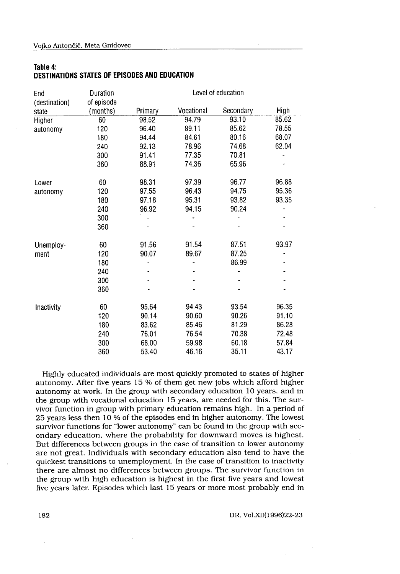### Table 4: DESTINATIONS STATES OF EPISODES AND EDUCATION

| End           | Duration   |         |            | Level of education |       |
|---------------|------------|---------|------------|--------------------|-------|
| (destination) | of episode |         |            |                    |       |
| state         | (months)   | Primary | Vocational | Secondary          | High  |
| Higher        | 60         | 98.52   | 94.79      | 93.10              | 85.62 |
| autonomy      | 120        | 96.40   | 89.11      | 85.62              | 78.55 |
|               | 180        | 94.44   | 84.61      | 80.16              | 68.07 |
|               | 240        | 92.13   | 78.96      | 74.68              | 62.04 |
|               | 300        | 91.41   | 77.35      | 70.81              |       |
|               | 360        | 88.91   | 74.36      | 65.96              |       |
| Lower         | 60         | 98.31   | 97.39      | 96.77              | 96.88 |
| autonomy      | 120        | 97.55   | 96.43      | 94.75              | 95.36 |
|               | 180        | 97.18   | 95.31      | 93.82              | 93.35 |
|               | 240        | 96.92   | 94.15      | 90.24              |       |
|               | 300        |         |            | -                  |       |
|               | 360        |         |            |                    |       |
| Unemploy-     | 60         | 91.56   | 91.54      | 87.51              | 93.97 |
| ment          | 120        | 90.07   | 89.67      | 87.25              |       |
|               | 180        |         |            | 86.99              |       |
|               | 240        |         |            |                    |       |
|               | 300        |         |            |                    |       |
|               | 360        |         |            |                    |       |
| Inactivity    | 60         | 95.64   | 94.43      | 93.54              | 96.35 |
|               | 120        | 90.14   | 90.60      | 90.26              | 91.10 |
|               | 180        | 83.62   | 85.46      | 81.29              | 86.28 |
|               | 240        | 76.01   | 76.54      | 70.38              | 72.48 |
|               | 300        | 68.00   | 59.98      | 60.18              | 57.84 |
|               | 360        | 53.40   | 46.16      | 35.11              | 43.17 |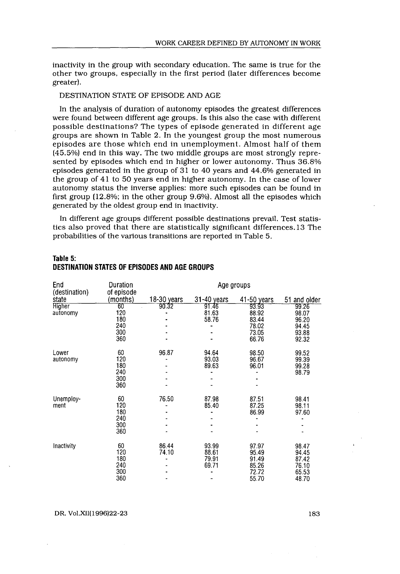inactivity in the group with secondary education . The same is true for the other two groups, especially in the first period (later differences become greater) .

### DESTINATION STATE OF EPISODE AND AGE

 

In the analysis of duration of autonomy episodes the greatest differences were found between different age groups . Is this also the case with different possible destinations? The types of episode generated in different age groups are shown in Table 2 . In the youngest group the most numerous episodes are those which end in unemployment . Almost half of them (45 .5%) end in this way . The two middle groups are most strongly represented by episodes which end in higher or lower autonomy. Thus 36.8% episodes generated in the group of 31 to 40 years and 44 .6% generated in the group of 41 to 50 years end in higher autonomy . In the case of lower autonomy status the inverse applies: more such episodes can be found in first group (12 .8%; in the other group 9 .6%) . Almost all the episodes which generated by the oldest group end in inactivity . **WORK CAREER DEF**<br>
inactivity in the group with secondary educatt<br>
other two groups, especially in the first period<br>
greater).<br>
DESTINATION STATE OF EPISODE AND AGE<br>
In the analysis of duration of autonomy epis<br>
were foun

In different age groups different possible destinations prevail. Test statistics also proved that there are statistically significant differences .13 The probabilities of the various transitions are reported in Table 5.

| ladie 5:<br>DESTINATION STATES OF EPISODES AND AGE GROUPS |                                       |                |                                  |                                                    |                                                    |  |  |  |
|-----------------------------------------------------------|---------------------------------------|----------------|----------------------------------|----------------------------------------------------|----------------------------------------------------|--|--|--|
| End<br>(destination)                                      | Duration<br>of episode                |                |                                  | Age groups                                         |                                                    |  |  |  |
| state                                                     | (months)                              | 18-30 years    | 31-40 years                      | 41-50 years                                        | 51 and older                                       |  |  |  |
| <b>Higher</b><br>autonomy                                 | 60<br>120<br>180<br>240<br>300<br>360 | 90.32          | 91.46<br>81.63<br>58.76          | 93.93<br>88.92<br>83.44<br>78.02<br>73.05<br>66.76 | 99.26<br>98.07<br>96.20<br>94.45<br>93.88<br>92.32 |  |  |  |
| Lower<br>autonomy                                         | 60<br>120<br>180<br>240<br>300<br>360 | 96.87          | 94.64<br>93.03<br>89.63          | 98.50<br>96.67<br>96.01                            | 99.52<br>99.39<br>99.28<br>98.79                   |  |  |  |
| Unemploy-<br>ment                                         | 60<br>120<br>180<br>240<br>300<br>360 | 76.50          | 87.98<br>85.40                   | 87.51<br>87.25<br>86.99                            | 98.41<br>98.11<br>97.60                            |  |  |  |
| Inactivity                                                | 60<br>120<br>180<br>240<br>300<br>360 | 86.44<br>74.10 | 93.99<br>88.61<br>79.91<br>69.71 | 97.97<br>95.49<br>91.49<br>85.26<br>72.72<br>55.70 | 98.47<br>94.45<br>87.42<br>76.10<br>65.53<br>48.70 |  |  |  |

### Table 5: DESTINATION STATES OF EPISODES AND AGE GROUPS

DR, Vol.XII(1996)22-23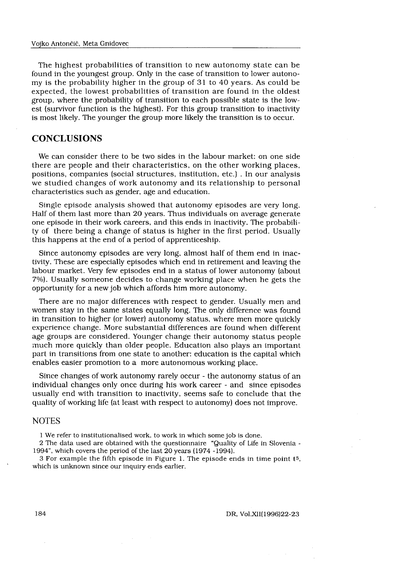The highest probabilities of transition to new autonomy state can be found in the youngest group. Only in the case of transition to lower autonomy is the probability higher in the group of 31 to 40 years . As could be expected, the lowest probabilities of transition are found in the oldest group, where the probability of transition to each possible state is the lowest (survivor function is the highest). For this group transition to inactivity is most likely. The younger the group more likely the transition is to occur.

## **CONCLUSIONS**

We can consider there to be two sides in the labour market; on one side there are people and their characteristics, on the other working places, positions, companies (social structures, institution, etc .) . In our analysis we studied changes of work autonomy and its relationship to personal characteristics such as gender, age and education.

Single episode analysis showed that autonomy episodes are very long . Half of them last more than 20 years . Thus individuals on average generate one episode in their work careers, and this ends in inactivity . The probability of there being a change of status is higher in the first period. Usually this happens at the end of a period of apprenticeship.

Since autonomy episodes are very long, almost half of them end in inactivity . These are especially episodes which end in retirement and leaving the labour market. Very few episodes end in a status of lower autonomy (about 7%). Usually someone decides to change working place when he gets the opportunity for a new job which affords him more autonomy .

There are no major differences with respect to gender. Usually men and women stay in the same states equally long. The only difference was found in transition to higher (or lower) autonomy status, where men more quickly experience change . More substantial differences are found when different age groups are considered. Younger change their autonomy status people much more quickly than older people. Education also plays an important part in transitions from one state to another : education is the capital which enables easier promotion to a more autonomous working place .

Since changes of work autonomy rarely occur - the autonomy status of an individual changes only once during his work career - and since episodes usually end with transition to inactivity, seems safe to conclude that the quality of working life (at least with respect to autonomy) does not improve .

### **NOTES**

1 We refer to institutionalised work, to work in which some job is done .

2 The data used are obtained with the questionnaire "Quality of Life in Slovenia - 1994", which covers the period of the last 20 years (1974 -1994) .

3 For example the fifth episode in Figure I . The episode ends in time point t5, which is unknown since our inquiry ends earlier.